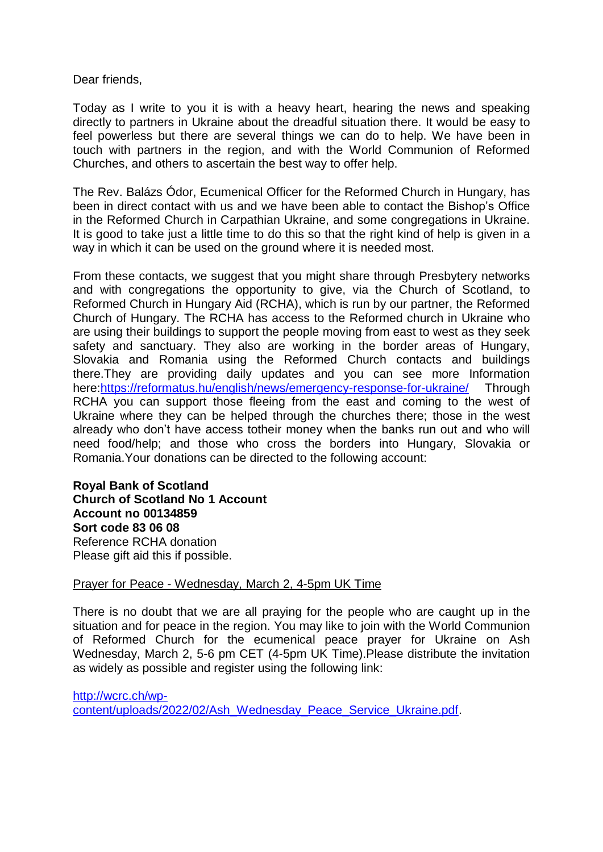Dear friends,

Today as I write to you it is with a heavy heart, hearing the news and speaking directly to partners in Ukraine about the dreadful situation there. It would be easy to feel powerless but there are several things we can do to help. We have been in touch with partners in the region, and with the World Communion of Reformed Churches, and others to ascertain the best way to offer help.

The Rev. Balázs Ódor, Ecumenical Officer for the Reformed Church in Hungary, has been in direct contact with us and we have been able to contact the Bishop's Office in the Reformed Church in Carpathian Ukraine, and some congregations in Ukraine. It is good to take just a little time to do this so that the right kind of help is given in a way in which it can be used on the ground where it is needed most.

From these contacts, we suggest that you might share through Presbytery networks and with congregations the opportunity to give, via the Church of Scotland, to Reformed Church in Hungary Aid (RCHA), which is run by our partner, the Reformed Church of Hungary. The RCHA has access to the Reformed church in Ukraine who are using their buildings to support the people moving from east to west as they seek safety and sanctuary. They also are working in the border areas of Hungary, Slovakia and Romania using the Reformed Church contacts and buildings there.They are providing daily updates and you can see more Information here[:https://reformatus.hu/english/news/emergency-response-for-ukraine/](https://avanan.url-protection.com/v1/url?o=https%3A//reformatus.hu/english/news/emergency-response-for-ukraine/&g=NDFkYjhlZmVhYjYxOTQ3NA==&h=YmQxM2JlYmQyYjExMjU1MmE3YTYzMjY3NmFhMmQ3MzE5Y2NlZTQxYTVjYjE4MTUyY2YwZmE2NmFjNmVjNmIyZg==&p=YXAzOmNvczphOm86MWMzMTk3ZThmY2NlYjdiMDgwNDQ3N2EyZmYyMzU2MWM6djE6aDpO) Through RCHA you can support those fleeing from the east and coming to the west of Ukraine where they can be helped through the churches there; those in the west already who don't have access totheir money when the banks run out and who will need food/help; and those who cross the borders into Hungary, Slovakia or Romania.Your donations can be directed to the following account:

**Royal Bank of Scotland Church of Scotland No 1 Account Account no 00134859 Sort code 83 06 08** Reference RCHA donation Please gift aid this if possible.

## Prayer for Peace - Wednesday, March 2, 4-5pm UK Time

There is no doubt that we are all praying for the people who are caught up in the situation and for peace in the region. You may like to join with the World Communion of Reformed Church for the ecumenical peace prayer for Ukraine on Ash Wednesday, March 2, 5-6 pm CET (4-5pm UK Time).Please distribute the invitation as widely as possible and register using the following link:

[http://wcrc.ch/wp](https://avanan.url-protection.com/v1/url?o=http%3A//wcrc.ch/wp-content/uploads/2022/02/Ash_Wednesday_Peace_Service_Ukraine.pdf&g=MTY1YzFhOTY0MjAyOTM5Nw==&h=NjRiZmZjZWE5Njk5ZjBhZDk4MmI2OTg2MDhjYjRkYjBlOTRlODhlODEzYmEyNWMwMzg5OGNmZjU0MmQxMDQ3Ng==&p=YXAzOmNvczphOm86MWMzMTk3ZThmY2NlYjdiMDgwNDQ3N2EyZmYyMzU2MWM6djE6aDpO)[content/uploads/2022/02/Ash\\_Wednesday\\_Peace\\_Service\\_Ukraine.pdf.](https://avanan.url-protection.com/v1/url?o=http%3A//wcrc.ch/wp-content/uploads/2022/02/Ash_Wednesday_Peace_Service_Ukraine.pdf&g=MTY1YzFhOTY0MjAyOTM5Nw==&h=NjRiZmZjZWE5Njk5ZjBhZDk4MmI2OTg2MDhjYjRkYjBlOTRlODhlODEzYmEyNWMwMzg5OGNmZjU0MmQxMDQ3Ng==&p=YXAzOmNvczphOm86MWMzMTk3ZThmY2NlYjdiMDgwNDQ3N2EyZmYyMzU2MWM6djE6aDpO)